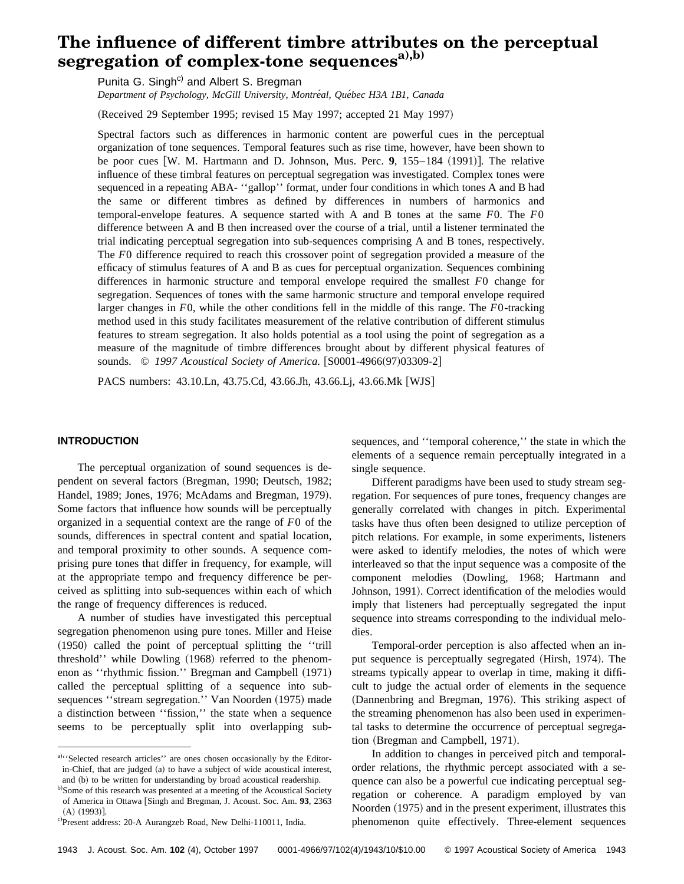# **The influence of different timbre attributes on the perceptual** segregation of complex-tone sequences<sup>a),b)</sup>

Punita G. Singh<sup>c)</sup> and Albert S. Bregman

*Department of Psychology, McGill University, Montre´al, Que´bec H3A 1B1, Canada*

(Received 29 September 1995; revised 15 May 1997; accepted 21 May 1997)

Spectral factors such as differences in harmonic content are powerful cues in the perceptual organization of tone sequences. Temporal features such as rise time, however, have been shown to be poor cues  $\left[\text{W. M. Hartmann and D. Johnson, Mus. Perc. 9, 155–184 (1991)}\right]$ . The relative influence of these timbral features on perceptual segregation was investigated. Complex tones were sequenced in a repeating ABA- ''gallop'' format, under four conditions in which tones A and B had the same or different timbres as defined by differences in numbers of harmonics and temporal-envelope features. A sequence started with A and B tones at the same *F*0. The *F*0 difference between A and B then increased over the course of a trial, until a listener terminated the trial indicating perceptual segregation into sub-sequences comprising A and B tones, respectively. The *F*0 difference required to reach this crossover point of segregation provided a measure of the efficacy of stimulus features of A and B as cues for perceptual organization. Sequences combining differences in harmonic structure and temporal envelope required the smallest *F*0 change for segregation. Sequences of tones with the same harmonic structure and temporal envelope required larger changes in *F*0, while the other conditions fell in the middle of this range. The *F*0-tracking method used in this study facilitates measurement of the relative contribution of different stimulus features to stream segregation. It also holds potential as a tool using the point of segregation as a measure of the magnitude of timbre differences brought about by different physical features of sounds. © 1997 Acoustical Society of America. [S0001-4966(97)03309-2]

PACS numbers: 43.10.Ln, 43.75.Cd, 43.66.Jh, 43.66.Lj, 43.66.Mk [WJS]

# **INTRODUCTION**

The perceptual organization of sound sequences is dependent on several factors (Bregman, 1990; Deutsch, 1982; Handel, 1989; Jones, 1976; McAdams and Bregman, 1979). Some factors that influence how sounds will be perceptually organized in a sequential context are the range of *F*0 of the sounds, differences in spectral content and spatial location, and temporal proximity to other sounds. A sequence comprising pure tones that differ in frequency, for example, will at the appropriate tempo and frequency difference be perceived as splitting into sub-sequences within each of which the range of frequency differences is reduced.

A number of studies have investigated this perceptual segregation phenomenon using pure tones. Miller and Heise  $(1950)$  called the point of perceptual splitting the "trill threshold'' while Dowling (1968) referred to the phenomenon as "rhythmic fission." Bregman and Campbell (1971) called the perceptual splitting of a sequence into subsequences "stream segregation." Van Noorden (1975) made a distinction between ''fission,'' the state when a sequence seems to be perceptually split into overlapping subsequences, and ''temporal coherence,'' the state in which the elements of a sequence remain perceptually integrated in a single sequence.

Different paradigms have been used to study stream segregation. For sequences of pure tones, frequency changes are generally correlated with changes in pitch. Experimental tasks have thus often been designed to utilize perception of pitch relations. For example, in some experiments, listeners were asked to identify melodies, the notes of which were interleaved so that the input sequence was a composite of the component melodies (Dowling, 1968; Hartmann and Johnson, 1991). Correct identification of the melodies would imply that listeners had perceptually segregated the input sequence into streams corresponding to the individual melodies.

Temporal-order perception is also affected when an input sequence is perceptually segregated (Hirsh, 1974). The streams typically appear to overlap in time, making it difficult to judge the actual order of elements in the sequence (Dannenbring and Bregman, 1976). This striking aspect of the streaming phenomenon has also been used in experimental tasks to determine the occurrence of perceptual segregation (Bregman and Campbell, 1971).

In addition to changes in perceived pitch and temporalorder relations, the rhythmic percept associated with a sequence can also be a powerful cue indicating perceptual segregation or coherence. A paradigm employed by van Noorden (1975) and in the present experiment, illustrates this phenomenon quite effectively. Three-element sequences

a). 'Selected research articles'' are ones chosen occasionally by the Editorin-Chief, that are judged (a) to have a subject of wide acoustical interest, and (b) to be written for understanding by broad acoustical readership.

b)Some of this research was presented at a meeting of the Acoustical Society of America in Ottawa [Singh and Bregman, J. Acoust. Soc. Am. 93, 2363  $(A)$  (1993)].

c)Present address: 20-A Aurangzeb Road, New Delhi-110011, India.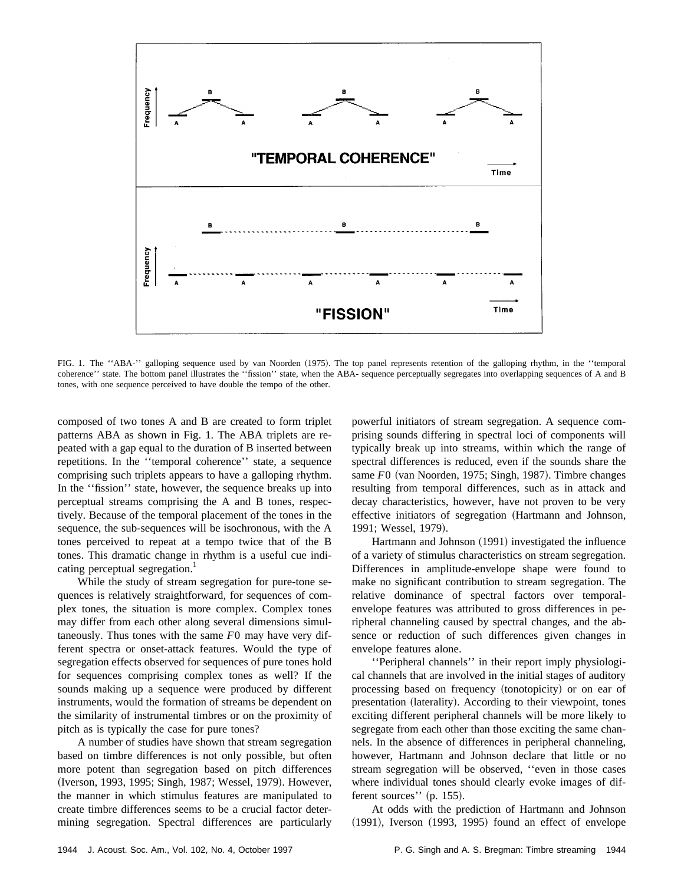

FIG. 1. The "ABA-" galloping sequence used by van Noorden (1975). The top panel represents retention of the galloping rhythm, in the "temporal coherence'' state. The bottom panel illustrates the ''fission'' state, when the ABA- sequence perceptually segregates into overlapping sequences of A and B tones, with one sequence perceived to have double the tempo of the other.

composed of two tones A and B are created to form triplet patterns ABA as shown in Fig. 1. The ABA triplets are repeated with a gap equal to the duration of B inserted between repetitions. In the ''temporal coherence'' state, a sequence comprising such triplets appears to have a galloping rhythm. In the ''fission'' state, however, the sequence breaks up into perceptual streams comprising the A and B tones, respectively. Because of the temporal placement of the tones in the sequence, the sub-sequences will be isochronous, with the A tones perceived to repeat at a tempo twice that of the B tones. This dramatic change in rhythm is a useful cue indicating perceptual segregation.<sup>1</sup>

While the study of stream segregation for pure-tone sequences is relatively straightforward, for sequences of complex tones, the situation is more complex. Complex tones may differ from each other along several dimensions simultaneously. Thus tones with the same *F*0 may have very different spectra or onset-attack features. Would the type of segregation effects observed for sequences of pure tones hold for sequences comprising complex tones as well? If the sounds making up a sequence were produced by different instruments, would the formation of streams be dependent on the similarity of instrumental timbres or on the proximity of pitch as is typically the case for pure tones?

A number of studies have shown that stream segregation based on timbre differences is not only possible, but often more potent than segregation based on pitch differences (Iverson, 1993, 1995; Singh, 1987; Wessel, 1979). However, the manner in which stimulus features are manipulated to create timbre differences seems to be a crucial factor determining segregation. Spectral differences are particularly powerful initiators of stream segregation. A sequence comprising sounds differing in spectral loci of components will typically break up into streams, within which the range of spectral differences is reduced, even if the sounds share the same *F*0 (van Noorden, 1975; Singh, 1987). Timbre changes resulting from temporal differences, such as in attack and decay characteristics, however, have not proven to be very effective initiators of segregation (Hartmann and Johnson, 1991; Wessel, 1979).

Hartmann and Johnson (1991) investigated the influence of a variety of stimulus characteristics on stream segregation. Differences in amplitude-envelope shape were found to make no significant contribution to stream segregation. The relative dominance of spectral factors over temporalenvelope features was attributed to gross differences in peripheral channeling caused by spectral changes, and the absence or reduction of such differences given changes in envelope features alone.

''Peripheral channels'' in their report imply physiological channels that are involved in the initial stages of auditory processing based on frequency (tonotopicity) or on ear of presentation (laterality). According to their viewpoint, tones exciting different peripheral channels will be more likely to segregate from each other than those exciting the same channels. In the absence of differences in peripheral channeling, however, Hartmann and Johnson declare that little or no stream segregation will be observed, ''even in those cases where individual tones should clearly evoke images of different sources'' (p. 155).

At odds with the prediction of Hartmann and Johnson  $(1991)$ , Iverson  $(1993, 1995)$  found an effect of envelope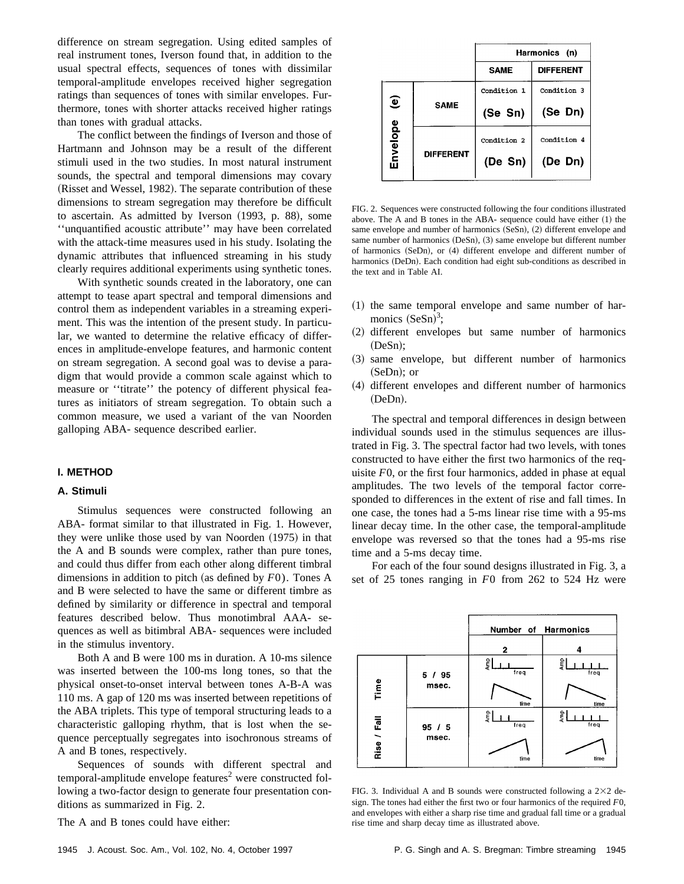difference on stream segregation. Using edited samples of real instrument tones, Iverson found that, in addition to the usual spectral effects, sequences of tones with dissimilar temporal-amplitude envelopes received higher segregation ratings than sequences of tones with similar envelopes. Furthermore, tones with shorter attacks received higher ratings than tones with gradual attacks.

The conflict between the findings of Iverson and those of Hartmann and Johnson may be a result of the different stimuli used in the two studies. In most natural instrument sounds, the spectral and temporal dimensions may covary (Risset and Wessel, 1982). The separate contribution of these dimensions to stream segregation may therefore be difficult to ascertain. As admitted by Iverson (1993, p. 88), some ''unquantified acoustic attribute'' may have been correlated with the attack-time measures used in his study. Isolating the dynamic attributes that influenced streaming in his study clearly requires additional experiments using synthetic tones.

With synthetic sounds created in the laboratory, one can attempt to tease apart spectral and temporal dimensions and control them as independent variables in a streaming experiment. This was the intention of the present study. In particular, we wanted to determine the relative efficacy of differences in amplitude-envelope features, and harmonic content on stream segregation. A second goal was to devise a paradigm that would provide a common scale against which to measure or ''titrate'' the potency of different physical features as initiators of stream segregation. To obtain such a common measure, we used a variant of the van Noorden galloping ABA- sequence described earlier.

## **I. METHOD**

#### **A. Stimuli**

Stimulus sequences were constructed following an ABA- format similar to that illustrated in Fig. 1. However, they were unlike those used by van Noorden  $(1975)$  in that the A and B sounds were complex, rather than pure tones, and could thus differ from each other along different timbral dimensions in addition to pitch (as defined by  $F0$ ). Tones A and B were selected to have the same or different timbre as defined by similarity or difference in spectral and temporal features described below. Thus monotimbral AAA- sequences as well as bitimbral ABA- sequences were included in the stimulus inventory.

Both A and B were 100 ms in duration. A 10-ms silence was inserted between the 100-ms long tones, so that the physical onset-to-onset interval between tones A-B-A was 110 ms. A gap of 120 ms was inserted between repetitions of the ABA triplets. This type of temporal structuring leads to a characteristic galloping rhythm, that is lost when the sequence perceptually segregates into isochronous streams of A and B tones, respectively.

Sequences of sounds with different spectral and  $temporal-amplitude$  envelope features<sup>2</sup> were constructed following a two-factor design to generate four presentation conditions as summarized in Fig. 2.

The A and B tones could have either:

|                                    |                  | Harmonics (n) |                  |  |  |
|------------------------------------|------------------|---------------|------------------|--|--|
|                                    |                  | <b>SAME</b>   | <b>DIFFERENT</b> |  |  |
| $\widehat{\mathbf{e}}$<br>Envelope |                  | Condition 1   | Condition 3      |  |  |
|                                    | <b>SAME</b>      | (Se Sn)       | (Se Dn)          |  |  |
|                                    | <b>DIFFERENT</b> | Condition 2   | Condition 4      |  |  |
|                                    |                  | (De Sn)       | (De Dn)          |  |  |
|                                    |                  |               |                  |  |  |

FIG. 2. Sequences were constructed following the four conditions illustrated above. The A and B tones in the ABA- sequence could have either  $(1)$  the same envelope and number of harmonics  $(SeSn)$ ,  $(2)$  different envelope and same number of harmonics  $(Desn), (3)$  same envelope but different number of harmonics  $(SeDn)$ , or  $(4)$  different envelope and different number of harmonics (DeDn). Each condition had eight sub-conditions as described in the text and in Table AI.

- $(1)$  the same temporal envelope and same number of harmonics  $(SeSn)^3$ ;
- (2) different envelopes but same number of harmonics  $(DeSn);$
- ~3! same envelope, but different number of harmonics  $(SeDn);$  or
- (4) different envelopes and different number of harmonics (DeDn).

The spectral and temporal differences in design between individual sounds used in the stimulus sequences are illustrated in Fig. 3. The spectral factor had two levels, with tones constructed to have either the first two harmonics of the requisite *F*0, or the first four harmonics, added in phase at equal amplitudes. The two levels of the temporal factor corresponded to differences in the extent of rise and fall times. In one case, the tones had a 5-ms linear rise time with a 95-ms linear decay time. In the other case, the temporal-amplitude envelope was reversed so that the tones had a 95-ms rise time and a 5-ms decay time.

For each of the four sound designs illustrated in Fig. 3, a set of 25 tones ranging in *F*0 from 262 to 524 Hz were



FIG. 3. Individual A and B sounds were constructed following a  $2\times2$  design. The tones had either the first two or four harmonics of the required *F*0, and envelopes with either a sharp rise time and gradual fall time or a gradual rise time and sharp decay time as illustrated above.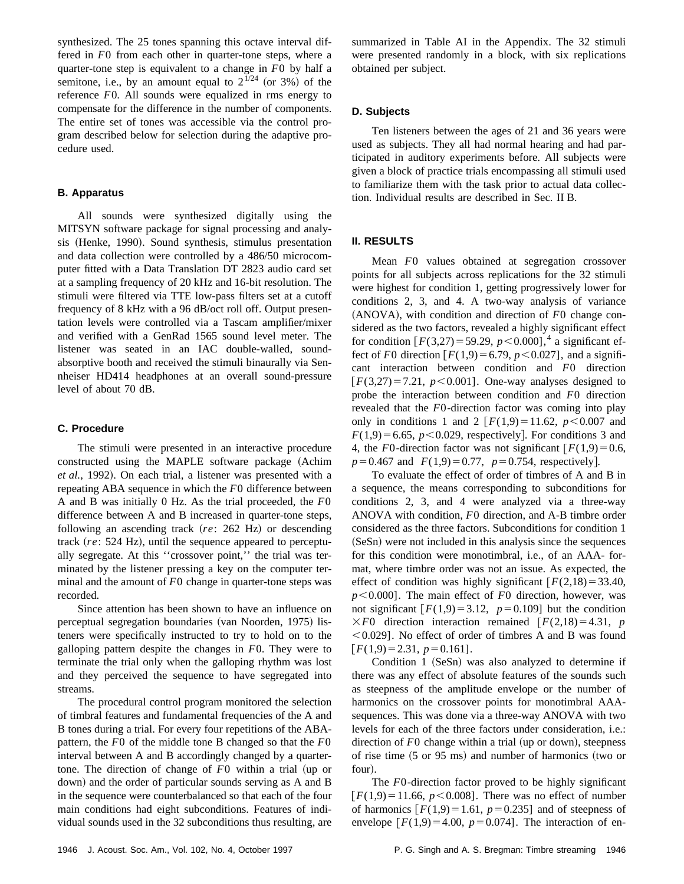synthesized. The 25 tones spanning this octave interval differed in *F*0 from each other in quarter-tone steps, where a quarter-tone step is equivalent to a change in *F*0 by half a semitone, i.e., by an amount equal to  $2^{1/24}$  (or 3%) of the reference *F*0. All sounds were equalized in rms energy to compensate for the difference in the number of components. The entire set of tones was accessible via the control program described below for selection during the adaptive procedure used.

## **B. Apparatus**

All sounds were synthesized digitally using the MITSYN software package for signal processing and analysis (Henke, 1990). Sound synthesis, stimulus presentation and data collection were controlled by a 486/50 microcomputer fitted with a Data Translation DT 2823 audio card set at a sampling frequency of 20 kHz and 16-bit resolution. The stimuli were filtered via TTE low-pass filters set at a cutoff frequency of 8 kHz with a 96 dB/oct roll off. Output presentation levels were controlled via a Tascam amplifier/mixer and verified with a GenRad 1565 sound level meter. The listener was seated in an IAC double-walled, soundabsorptive booth and received the stimuli binaurally via Sennheiser HD414 headphones at an overall sound-pressure level of about 70 dB.

## **C. Procedure**

The stimuli were presented in an interactive procedure constructed using the MAPLE software package (Achim et al., 1992). On each trial, a listener was presented with a repeating ABA sequence in which the *F*0 difference between A and B was initially 0 Hz. As the trial proceeded, the *F*0 difference between A and B increased in quarter-tone steps, following an ascending track ( $re: 262$  Hz) or descending track (re: 524 Hz), until the sequence appeared to perceptually segregate. At this ''crossover point,'' the trial was terminated by the listener pressing a key on the computer terminal and the amount of *F*0 change in quarter-tone steps was recorded.

Since attention has been shown to have an influence on perceptual segregation boundaries (van Noorden, 1975) listeners were specifically instructed to try to hold on to the galloping pattern despite the changes in *F*0. They were to terminate the trial only when the galloping rhythm was lost and they perceived the sequence to have segregated into streams.

The procedural control program monitored the selection of timbral features and fundamental frequencies of the A and B tones during a trial. For every four repetitions of the ABApattern, the *F*0 of the middle tone B changed so that the *F*0 interval between A and B accordingly changed by a quartertone. The direction of change of *F*0 within a trial (up or down) and the order of particular sounds serving as A and B in the sequence were counterbalanced so that each of the four main conditions had eight subconditions. Features of individual sounds used in the 32 subconditions thus resulting, are summarized in Table AI in the Appendix. The 32 stimuli were presented randomly in a block, with six replications obtained per subject.

## **D. Subjects**

Ten listeners between the ages of 21 and 36 years were used as subjects. They all had normal hearing and had participated in auditory experiments before. All subjects were given a block of practice trials encompassing all stimuli used to familiarize them with the task prior to actual data collection. Individual results are described in Sec. II B.

## **II. RESULTS**

Mean *F*0 values obtained at segregation crossover points for all subjects across replications for the 32 stimuli were highest for condition 1, getting progressively lower for conditions 2, 3, and 4. A two-way analysis of variance  $(ANOVA)$ , with condition and direction of  $F0$  change considered as the two factors, revealed a highly significant effect for condition  $[F(3,27) = 59.29, p < 0.000]$ ,<sup>4</sup> a significant effect of *F*0 direction  $[F(1,9) = 6.79, p < 0.027]$ , and a significant interaction between condition and *F*0 direction  $F(3,27) = 7.21$ ,  $p < 0.001$ . One-way analyses designed to probe the interaction between condition and *F*0 direction revealed that the *F*0-direction factor was coming into play only in conditions 1 and 2  $[F(1,9)=11.62, p<0.007$  and  $F(1,9) = 6.65$ ,  $p < 0.029$ , respectively. For conditions 3 and 4, the *F*0-direction factor was not significant  $[F(1,9)=0.6,$  $p=0.467$  and  $F(1,9)=0.77$ ,  $p=0.754$ , respectively.

To evaluate the effect of order of timbres of A and B in a sequence, the means corresponding to subconditions for conditions 2, 3, and 4 were analyzed via a three-way ANOVA with condition, *F*0 direction, and A-B timbre order considered as the three factors. Subconditions for condition 1 (SeSn) were not included in this analysis since the sequences for this condition were monotimbral, i.e., of an AAA- format, where timbre order was not an issue. As expected, the effect of condition was highly significant  $[F(2,18)=33.40,$  $p$ <0.000]. The main effect of *F*0 direction, however, was not significant  $F(1,9)=3.12$ ,  $p=0.109$ ] but the condition  $\times F0$  direction interaction remained  $\lceil F(2,18)=4.31, p\rceil$  $\leq$  0.029]. No effect of order of timbres A and B was found  $[F(1,9)=2.31, p=0.161].$ 

Condition  $1$  (SeSn) was also analyzed to determine if there was any effect of absolute features of the sounds such as steepness of the amplitude envelope or the number of harmonics on the crossover points for monotimbral AAAsequences. This was done via a three-way ANOVA with two levels for each of the three factors under consideration, i.e.: direction of  $F0$  change within a trial (up or down), steepness of rise time  $(5 \text{ or } 95 \text{ ms})$  and number of harmonics (two or four).

The *F*0-direction factor proved to be highly significant  $[F(1,9) = 11.66, p < 0.008]$ . There was no effect of number of harmonics  $[F(1,9) = 1.61, p = 0.235]$  and of steepness of envelope  $[F(1,9) = 4.00, p = 0.074]$ . The interaction of en-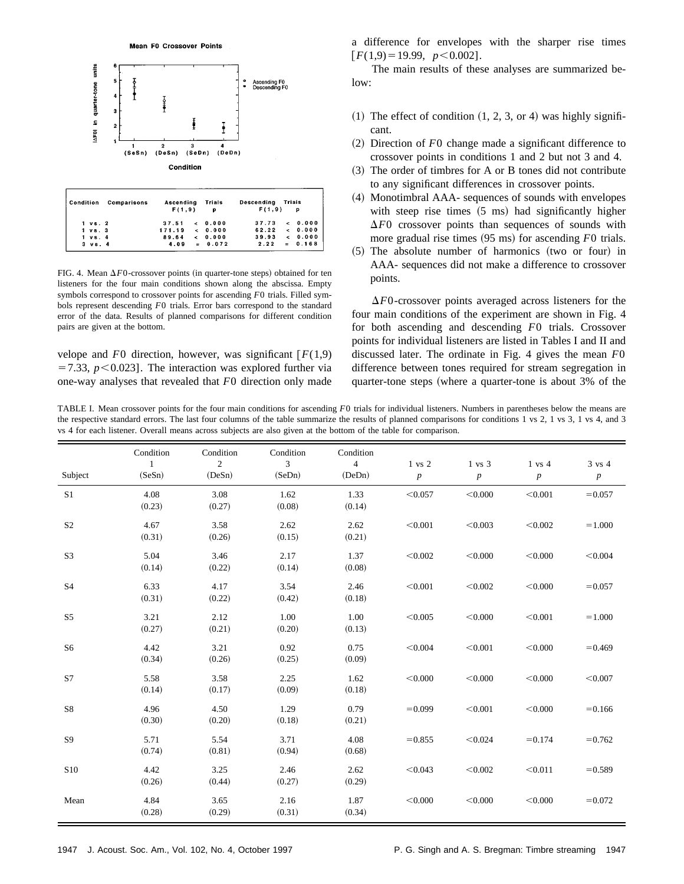



| Condition          | Comparisons | Ascending<br>F(1,9)   | Trials<br>$\mathbf{p}$ | Descending Trials<br>F(1,9) |                  |
|--------------------|-------------|-----------------------|------------------------|-----------------------------|------------------|
| $1 \text{ vs. } 2$ |             | 37.51                 | $\epsilon$ 0.000       | 37.73                       | $\epsilon$ 0.000 |
| $1 \text{ vs. } 3$ |             | $171.19 \times 0.000$ |                        | $62.22 \div 0.000$          |                  |
| $1 \text{vs. } 4$  |             | 89.64                 | $\leq 0.000$           | 39.93                       | $\leq 0.000$     |
| $3 \text{ vs. } 4$ |             | 4.09                  | $= 0.072$              | 2.22                        | $= 0.168$        |

FIG. 4. Mean  $\Delta F0$ -crossover points (in quarter-tone steps) obtained for ten listeners for the four main conditions shown along the abscissa. Empty symbols correspond to crossover points for ascending *F*0 trials. Filled symbols represent descending *F*0 trials. Error bars correspond to the standard error of the data. Results of planned comparisons for different condition pairs are given at the bottom.

velope and  $F0$  direction, however, was significant  $F(1,9)$  $=7.33$ ,  $p < 0.023$ ]. The interaction was explored further via one-way analyses that revealed that *F*0 direction only made a difference for envelopes with the sharper rise times  $[F(1,9) = 19.99, p < 0.002]$ .

The main results of these analyses are summarized below:

- $(1)$  The effect of condition  $(1, 2, 3, 0r 4)$  was highly significant.
- ~2! Direction of *F*0 change made a significant difference to crossover points in conditions 1 and 2 but not 3 and 4.
- $(3)$  The order of timbres for A or B tones did not contribute to any significant differences in crossover points.
- (4) Monotimbral AAA- sequences of sounds with envelopes with steep rise times  $(5 \text{ ms})$  had significantly higher  $\Delta F0$  crossover points than sequences of sounds with more gradual rise times (95 ms) for ascending *F*0 trials.
- $(5)$  The absolute number of harmonics (two or four) in AAA- sequences did not make a difference to crossover points.

 $\Delta F$ 0-crossover points averaged across listeners for the four main conditions of the experiment are shown in Fig. 4 for both ascending and descending *F*0 trials. Crossover points for individual listeners are listed in Tables I and II and discussed later. The ordinate in Fig. 4 gives the mean *F*0 difference between tones required for stream segregation in quarter-tone steps (where a quarter-tone is about  $3\%$  of the

TABLE I. Mean crossover points for the four main conditions for ascending *F*0 trials for individual listeners. Numbers in parentheses below the means are the respective standard errors. The last four columns of the table summarize the results of planned comparisons for conditions 1 vs 2, 1 vs 3, 1 vs 4, and 3 vs 4 for each listener. Overall means across subjects are also given at the bottom of the table for comparison.

| Subject        | Condition<br>$\mathbf{1}$<br>(SeSn) | Condition<br>2<br>(DeSn) | Condition<br>3<br>(SeDn) | Condition<br>$\overline{4}$<br>(DeDn) | $1$ vs $2$<br>$\boldsymbol{p}$ | 1 vs 3<br>$\boldsymbol{p}$ | $1 \text{ vs } 4$<br>$\boldsymbol{p}$ | 3 vs 4<br>$\boldsymbol{p}$ |
|----------------|-------------------------------------|--------------------------|--------------------------|---------------------------------------|--------------------------------|----------------------------|---------------------------------------|----------------------------|
| S <sub>1</sub> | 4.08<br>(0.23)                      | 3.08<br>(0.27)           | 1.62<br>(0.08)           | 1.33<br>(0.14)                        | < 0.057                        | < 0.000                    | < 0.001                               | $= 0.057$                  |
| S <sub>2</sub> | 4.67<br>(0.31)                      | 3.58<br>(0.26)           | 2.62<br>(0.15)           | 2.62<br>(0.21)                        | < 0.001                        | < 0.003                    | < 0.002                               | $=1.000$                   |
| S <sub>3</sub> | 5.04<br>(0.14)                      | 3.46<br>(0.22)           | 2.17<br>(0.14)           | 1.37<br>(0.08)                        | < 0.002                        | < 0.000                    | < 0.000                               | < 0.004                    |
| <b>S4</b>      | 6.33<br>(0.31)                      | 4.17<br>(0.22)           | 3.54<br>(0.42)           | 2.46<br>(0.18)                        | < 0.001                        | < 0.002                    | < 0.000                               | $= 0.057$                  |
| S <sub>5</sub> | 3.21<br>(0.27)                      | 2.12<br>(0.21)           | 1.00<br>(0.20)           | 1.00<br>(0.13)                        | < 0.005                        | < 0.000                    | < 0.001                               | $=1.000$                   |
| S <sub>6</sub> | 4.42<br>(0.34)                      | 3.21<br>(0.26)           | 0.92<br>(0.25)           | 0.75<br>(0.09)                        | < 0.004                        | < 0.001                    | < 0.000                               | $= 0.469$                  |
| S7             | 5.58<br>(0.14)                      | 3.58<br>(0.17)           | 2.25<br>(0.09)           | 1.62<br>(0.18)                        | < 0.000                        | < 0.000                    | < 0.000                               | < 0.007                    |
| S8             | 4.96<br>(0.30)                      | 4.50<br>(0.20)           | 1.29<br>(0.18)           | 0.79<br>(0.21)                        | $= 0.099$                      | < 0.001                    | < 0.000                               | $= 0.166$                  |
| S9             | 5.71<br>(0.74)                      | 5.54<br>(0.81)           | 3.71<br>(0.94)           | 4.08<br>(0.68)                        | $= 0.855$                      | < 0.024                    | $= 0.174$                             | $= 0.762$                  |
| <b>S10</b>     | 4.42<br>(0.26)                      | 3.25<br>(0.44)           | 2.46<br>(0.27)           | 2.62<br>(0.29)                        | < 0.043                        | < 0.002                    | < 0.011                               | $= 0.589$                  |
| Mean           | 4.84<br>(0.28)                      | 3.65<br>(0.29)           | 2.16<br>(0.31)           | 1.87<br>(0.34)                        | < 0.000                        | < 0.000                    | < 0.000                               | $= 0.072$                  |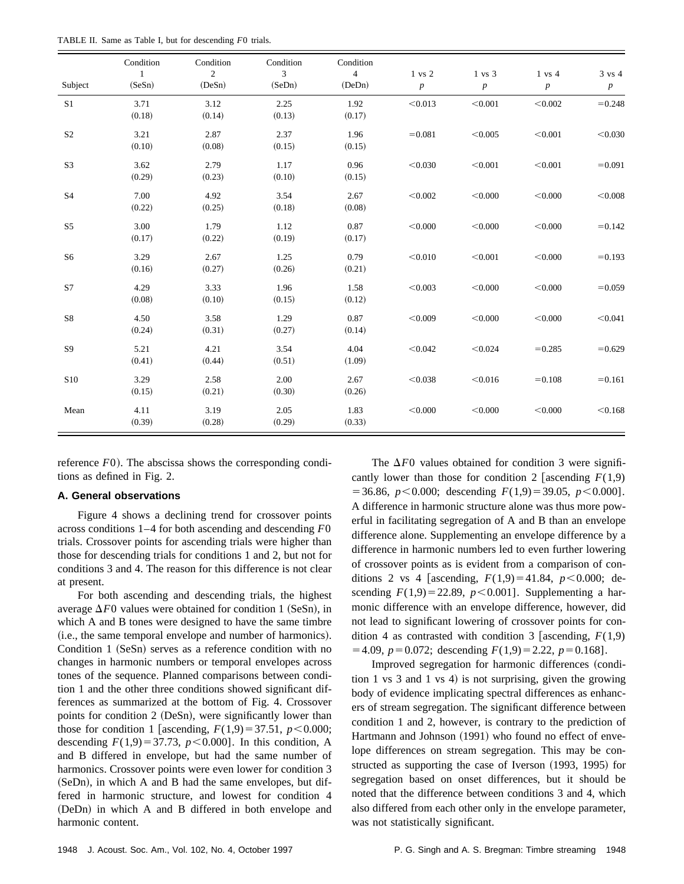| TABLE II. Same as Table I, but for descending F0 trials. |  |  |  |  |  |  |
|----------------------------------------------------------|--|--|--|--|--|--|
|----------------------------------------------------------|--|--|--|--|--|--|

|                | Condition              | Condition      | Condition      | Condition                |                            |                            |                                       |                            |
|----------------|------------------------|----------------|----------------|--------------------------|----------------------------|----------------------------|---------------------------------------|----------------------------|
| Subject        | $\mathbf{1}$<br>(SeSn) | 2<br>(DeSn)    | 3<br>(SeDn)    | $\overline{4}$<br>(DeDn) | 1 vs 2<br>$\boldsymbol{p}$ | 1 vs 3<br>$\boldsymbol{p}$ | $1 \text{ vs } 4$<br>$\boldsymbol{p}$ | 3 vs 4<br>$\boldsymbol{p}$ |
|                |                        |                |                |                          |                            |                            |                                       |                            |
| S <sub>1</sub> | 3.71<br>(0.18)         | 3.12<br>(0.14) | 2.25<br>(0.13) | 1.92<br>(0.17)           | < 0.013                    | < 0.001                    | < 0.002                               | $= 0.248$                  |
| S <sub>2</sub> | 3.21<br>(0.10)         | 2.87<br>(0.08) | 2.37<br>(0.15) | 1.96<br>(0.15)           | $= 0.081$                  | < 0.005                    | < 0.001                               | < 0.030                    |
| S <sub>3</sub> | 3.62<br>(0.29)         | 2.79<br>(0.23) | 1.17<br>(0.10) | 0.96<br>(0.15)           | < 0.030                    | < 0.001                    | < 0.001                               | $= 0.091$                  |
| S <sub>4</sub> | 7.00<br>(0.22)         | 4.92<br>(0.25) | 3.54<br>(0.18) | 2.67<br>(0.08)           | < 0.002                    | < 0.000                    | < 0.000                               | < 0.008                    |
| S <sub>5</sub> | 3.00<br>(0.17)         | 1.79<br>(0.22) | 1.12<br>(0.19) | 0.87<br>(0.17)           | < 0.000                    | < 0.000                    | < 0.000                               | $= 0.142$                  |
| S <sub>6</sub> | 3.29<br>(0.16)         | 2.67<br>(0.27) | 1.25<br>(0.26) | 0.79<br>(0.21)           | < 0.010                    | < 0.001                    | < 0.000                               | $= 0.193$                  |
| S7             | 4.29<br>(0.08)         | 3.33<br>(0.10) | 1.96<br>(0.15) | 1.58<br>(0.12)           | < 0.003                    | < 0.000                    | < 0.000                               | $= 0.059$                  |
| S8             | 4.50<br>(0.24)         | 3.58<br>(0.31) | 1.29<br>(0.27) | 0.87<br>(0.14)           | < 0.009                    | < 0.000                    | < 0.000                               | < 0.041                    |
| S <sub>9</sub> | 5.21<br>(0.41)         | 4.21<br>(0.44) | 3.54<br>(0.51) | 4.04<br>(1.09)           | < 0.042                    | < 0.024                    | $=0.285$                              | $= 0.629$                  |
| <b>S10</b>     | 3.29<br>(0.15)         | 2.58<br>(0.21) | 2.00<br>(0.30) | 2.67<br>(0.26)           | < 0.038                    | < 0.016                    | $= 0.108$                             | $= 0.161$                  |
| Mean           | 4.11<br>(0.39)         | 3.19<br>(0.28) | 2.05<br>(0.29) | 1.83<br>(0.33)           | < 0.000                    | < 0.000                    | < 0.000                               | < 0.168                    |

reference  $F(0)$ . The abscissa shows the corresponding conditions as defined in Fig. 2.

## **A. General observations**

Figure 4 shows a declining trend for crossover points across conditions 1–4 for both ascending and descending *F*0 trials. Crossover points for ascending trials were higher than those for descending trials for conditions 1 and 2, but not for conditions 3 and 4. The reason for this difference is not clear at present.

For both ascending and descending trials, the highest average  $\Delta F0$  values were obtained for condition 1 (SeSn), in which A and B tones were designed to have the same timbre (i.e., the same temporal envelope and number of harmonics). Condition  $1$  (SeSn) serves as a reference condition with no changes in harmonic numbers or temporal envelopes across tones of the sequence. Planned comparisons between condition 1 and the other three conditions showed significant differences as summarized at the bottom of Fig. 4. Crossover points for condition 2 (DeSn), were significantly lower than those for condition 1 [ascending,  $F(1,9) = 37.51$ ,  $p < 0.000$ ; descending  $F(1,9) = 37.73$ ,  $p < 0.000$ ]. In this condition, A and B differed in envelope, but had the same number of harmonics. Crossover points were even lower for condition 3  $(SeDn)$ , in which A and B had the same envelopes, but differed in harmonic structure, and lowest for condition 4 (DeDn) in which A and B differed in both envelope and harmonic content.

The  $\Delta F0$  values obtained for condition 3 were significantly lower than those for condition 2 [ascending  $F(1,9)$  $=$  36.86, *p*<0.000; descending *F*(1,9)=39.05, *p*<0.000]. A difference in harmonic structure alone was thus more powerful in facilitating segregation of A and B than an envelope difference alone. Supplementing an envelope difference by a difference in harmonic numbers led to even further lowering of crossover points as is evident from a comparison of conditions 2 vs 4 [ascending,  $F(1,9) = 41.84$ ,  $p < 0.000$ ; descending  $F(1,9) = 22.89$ ,  $p < 0.001$ ]. Supplementing a harmonic difference with an envelope difference, however, did not lead to significant lowering of crossover points for condition 4 as contrasted with condition 3 [ascending,  $F(1,9)$ ]  $=4.09, p=0.072$ ; descending  $F(1,9)=2.22, p=0.168$ .

Improved segregation for harmonic differences (condition 1 vs 3 and 1 vs 4) is not surprising, given the growing body of evidence implicating spectral differences as enhancers of stream segregation. The significant difference between condition 1 and 2, however, is contrary to the prediction of Hartmann and Johnson (1991) who found no effect of envelope differences on stream segregation. This may be constructed as supporting the case of Iverson (1993, 1995) for segregation based on onset differences, but it should be noted that the difference between conditions 3 and 4, which also differed from each other only in the envelope parameter, was not statistically significant.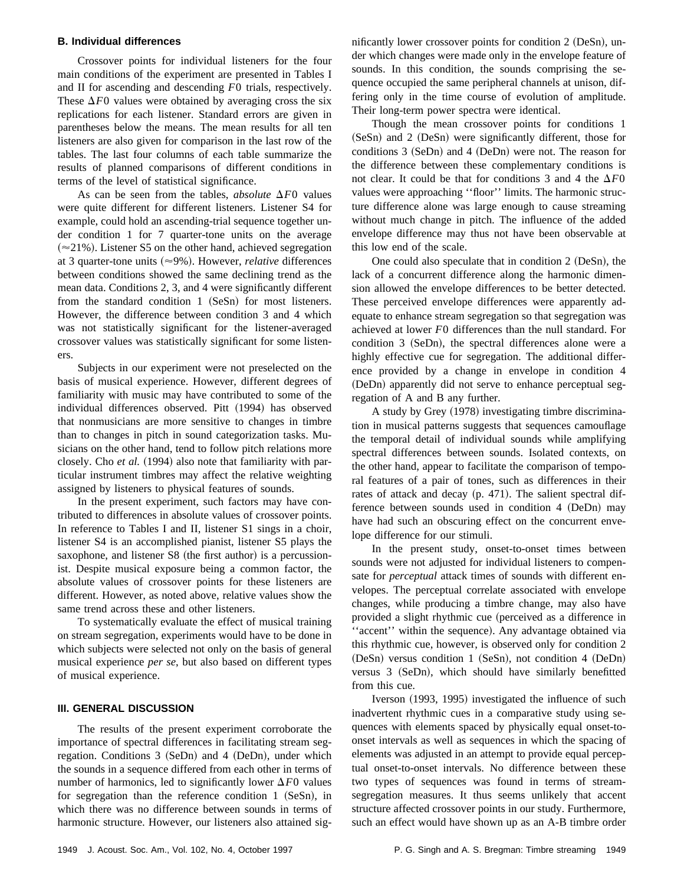## **B. Individual differences**

Crossover points for individual listeners for the four main conditions of the experiment are presented in Tables I and II for ascending and descending *F*0 trials, respectively. These  $\Delta F0$  values were obtained by averaging cross the six replications for each listener. Standard errors are given in parentheses below the means. The mean results for all ten listeners are also given for comparison in the last row of the tables. The last four columns of each table summarize the results of planned comparisons of different conditions in terms of the level of statistical significance.

As can be seen from the tables, *absolute*  $\Delta F0$  values were quite different for different listeners. Listener S4 for example, could hold an ascending-trial sequence together under condition 1 for 7 quarter-tone units on the average  $(\approx 21\%)$ . Listener S5 on the other hand, achieved segregation at 3 quarter-tone units  $(\approx 9\%)$ . However, *relative* differences between conditions showed the same declining trend as the mean data. Conditions 2, 3, and 4 were significantly different from the standard condition  $1 ~$  (SeSn) for most listeners. However, the difference between condition 3 and 4 which was not statistically significant for the listener-averaged crossover values was statistically significant for some listeners.

Subjects in our experiment were not preselected on the basis of musical experience. However, different degrees of familiarity with music may have contributed to some of the individual differences observed. Pitt (1994) has observed that nonmusicians are more sensitive to changes in timbre than to changes in pitch in sound categorization tasks. Musicians on the other hand, tend to follow pitch relations more closely. Cho *et al.* (1994) also note that familiarity with particular instrument timbres may affect the relative weighting assigned by listeners to physical features of sounds.

In the present experiment, such factors may have contributed to differences in absolute values of crossover points. In reference to Tables I and II, listener S1 sings in a choir, listener S4 is an accomplished pianist, listener S5 plays the saxophone, and listener S8 (the first author) is a percussionist. Despite musical exposure being a common factor, the absolute values of crossover points for these listeners are different. However, as noted above, relative values show the same trend across these and other listeners.

To systematically evaluate the effect of musical training on stream segregation, experiments would have to be done in which subjects were selected not only on the basis of general musical experience *per se*, but also based on different types of musical experience.

## **III. GENERAL DISCUSSION**

The results of the present experiment corroborate the importance of spectral differences in facilitating stream segregation. Conditions 3 (SeDn) and 4 (DeDn), under which the sounds in a sequence differed from each other in terms of number of harmonics, led to significantly lower  $\Delta F0$  values for segregation than the reference condition  $1 ~$  (SeSn), in which there was no difference between sounds in terms of harmonic structure. However, our listeners also attained significantly lower crossover points for condition  $2$  (DeSn), under which changes were made only in the envelope feature of sounds. In this condition, the sounds comprising the sequence occupied the same peripheral channels at unison, differing only in the time course of evolution of amplitude. Their long-term power spectra were identical.

Though the mean crossover points for conditions 1  $(SeSn)$  and 2 (DeSn) were significantly different, those for conditions  $3$  (SeDn) and  $4$  (DeDn) were not. The reason for the difference between these complementary conditions is not clear. It could be that for conditions 3 and 4 the  $\Delta F0$ values were approaching ''floor'' limits. The harmonic structure difference alone was large enough to cause streaming without much change in pitch. The influence of the added envelope difference may thus not have been observable at this low end of the scale.

One could also speculate that in condition  $2$  (DeSn), the lack of a concurrent difference along the harmonic dimension allowed the envelope differences to be better detected. These perceived envelope differences were apparently adequate to enhance stream segregation so that segregation was achieved at lower *F*0 differences than the null standard. For condition  $3$  (SeDn), the spectral differences alone were a highly effective cue for segregation. The additional difference provided by a change in envelope in condition 4 (DeDn) apparently did not serve to enhance perceptual segregation of A and B any further.

A study by Grey (1978) investigating timbre discrimination in musical patterns suggests that sequences camouflage the temporal detail of individual sounds while amplifying spectral differences between sounds. Isolated contexts, on the other hand, appear to facilitate the comparison of temporal features of a pair of tones, such as differences in their rates of attack and decay  $(p. 471)$ . The salient spectral difference between sounds used in condition  $4$  (DeDn) may have had such an obscuring effect on the concurrent envelope difference for our stimuli.

In the present study, onset-to-onset times between sounds were not adjusted for individual listeners to compensate for *perceptual* attack times of sounds with different envelopes. The perceptual correlate associated with envelope changes, while producing a timbre change, may also have provided a slight rhythmic cue (perceived as a difference in "accent" within the sequence). Any advantage obtained via this rhythmic cue, however, is observed only for condition 2  $(DeSn)$  versus condition 1  $(SeSn)$ , not condition 4  $(DeDn)$ versus  $3$  (SeDn), which should have similarly benefitted from this cue.

Iverson (1993, 1995) investigated the influence of such inadvertent rhythmic cues in a comparative study using sequences with elements spaced by physically equal onset-toonset intervals as well as sequences in which the spacing of elements was adjusted in an attempt to provide equal perceptual onset-to-onset intervals. No difference between these two types of sequences was found in terms of streamsegregation measures. It thus seems unlikely that accent structure affected crossover points in our study. Furthermore, such an effect would have shown up as an A-B timbre order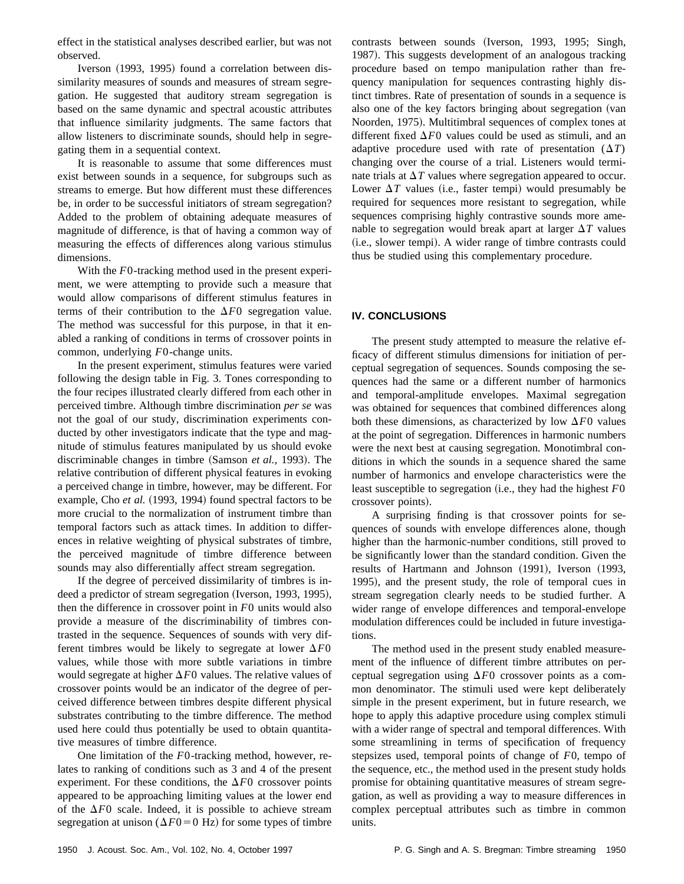effect in the statistical analyses described earlier, but was not observed.

Iverson (1993, 1995) found a correlation between dissimilarity measures of sounds and measures of stream segregation. He suggested that auditory stream segregation is based on the same dynamic and spectral acoustic attributes that influence similarity judgments. The same factors that allow listeners to discriminate sounds, should help in segregating them in a sequential context.

It is reasonable to assume that some differences must exist between sounds in a sequence, for subgroups such as streams to emerge. But how different must these differences be, in order to be successful initiators of stream segregation? Added to the problem of obtaining adequate measures of magnitude of difference, is that of having a common way of measuring the effects of differences along various stimulus dimensions.

With the *F*0-tracking method used in the present experiment, we were attempting to provide such a measure that would allow comparisons of different stimulus features in terms of their contribution to the  $\Delta F0$  segregation value. The method was successful for this purpose, in that it enabled a ranking of conditions in terms of crossover points in common, underlying *F*0-change units.

In the present experiment, stimulus features were varied following the design table in Fig. 3. Tones corresponding to the four recipes illustrated clearly differed from each other in perceived timbre. Although timbre discrimination *per se* was not the goal of our study, discrimination experiments conducted by other investigators indicate that the type and magnitude of stimulus features manipulated by us should evoke discriminable changes in timbre (Samson *et al.*, 1993). The relative contribution of different physical features in evoking a perceived change in timbre, however, may be different. For example, Cho *et al.* (1993, 1994) found spectral factors to be more crucial to the normalization of instrument timbre than temporal factors such as attack times. In addition to differences in relative weighting of physical substrates of timbre, the perceived magnitude of timbre difference between sounds may also differentially affect stream segregation.

If the degree of perceived dissimilarity of timbres is indeed a predictor of stream segregation (Iverson, 1993, 1995), then the difference in crossover point in *F*0 units would also provide a measure of the discriminability of timbres contrasted in the sequence. Sequences of sounds with very different timbres would be likely to segregate at lower  $\Delta F0$ values, while those with more subtle variations in timbre would segregate at higher  $\Delta F0$  values. The relative values of crossover points would be an indicator of the degree of perceived difference between timbres despite different physical substrates contributing to the timbre difference. The method used here could thus potentially be used to obtain quantitative measures of timbre difference.

One limitation of the *F*0-tracking method, however, relates to ranking of conditions such as 3 and 4 of the present experiment. For these conditions, the  $\Delta F0$  crossover points appeared to be approaching limiting values at the lower end of the  $\Delta F0$  scale. Indeed, it is possible to achieve stream segregation at unison ( $\Delta F0=0$  Hz) for some types of timbre contrasts between sounds (Iverson, 1993, 1995; Singh, 1987). This suggests development of an analogous tracking procedure based on tempo manipulation rather than frequency manipulation for sequences contrasting highly distinct timbres. Rate of presentation of sounds in a sequence is also one of the key factors bringing about segregation (van Noorden, 1975). Multitimbral sequences of complex tones at different fixed  $\Delta F0$  values could be used as stimuli, and an adaptive procedure used with rate of presentation  $(\Delta T)$ changing over the course of a trial. Listeners would terminate trials at  $\Delta T$  values where segregation appeared to occur. Lower  $\Delta T$  values (i.e., faster tempi) would presumably be required for sequences more resistant to segregation, while sequences comprising highly contrastive sounds more amenable to segregation would break apart at larger  $\Delta T$  values (i.e., slower tempi). A wider range of timbre contrasts could thus be studied using this complementary procedure.

# **IV. CONCLUSIONS**

The present study attempted to measure the relative efficacy of different stimulus dimensions for initiation of perceptual segregation of sequences. Sounds composing the sequences had the same or a different number of harmonics and temporal-amplitude envelopes. Maximal segregation was obtained for sequences that combined differences along both these dimensions, as characterized by low  $\Delta F0$  values at the point of segregation. Differences in harmonic numbers were the next best at causing segregation. Monotimbral conditions in which the sounds in a sequence shared the same number of harmonics and envelope characteristics were the least susceptible to segregation (i.e., they had the highest  $F0$ crossover points).

A surprising finding is that crossover points for sequences of sounds with envelope differences alone, though higher than the harmonic-number conditions, still proved to be significantly lower than the standard condition. Given the results of Hartmann and Johnson (1991), Iverson (1993, 1995), and the present study, the role of temporal cues in stream segregation clearly needs to be studied further. A wider range of envelope differences and temporal-envelope modulation differences could be included in future investigations.

The method used in the present study enabled measurement of the influence of different timbre attributes on perceptual segregation using  $\Delta F0$  crossover points as a common denominator. The stimuli used were kept deliberately simple in the present experiment, but in future research, we hope to apply this adaptive procedure using complex stimuli with a wider range of spectral and temporal differences. With some streamlining in terms of specification of frequency stepsizes used, temporal points of change of *F*0, tempo of the sequence, etc., the method used in the present study holds promise for obtaining quantitative measures of stream segregation, as well as providing a way to measure differences in complex perceptual attributes such as timbre in common units.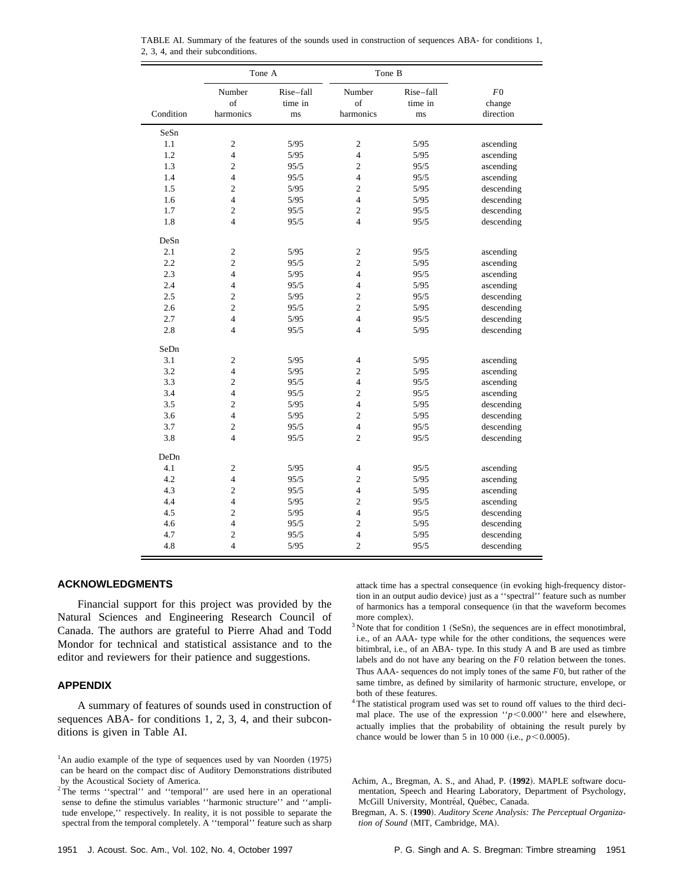|           | Tone A                    |                            | Tone B                    |                            |                                    |
|-----------|---------------------------|----------------------------|---------------------------|----------------------------|------------------------------------|
| Condition | Number<br>of<br>harmonics | Rise-fall<br>time in<br>ms | Number<br>of<br>harmonics | Rise-fall<br>time in<br>ms | ${\cal F}0$<br>change<br>direction |
| SeSn      |                           |                            |                           |                            |                                    |
| 1.1       | $\overline{c}$            | 5/95                       | $\overline{c}$            | 5/95                       | ascending                          |
| 1.2       | $\overline{4}$            | 5/95                       | $\overline{4}$            | 5/95                       | ascending                          |
| 1.3       | $\overline{2}$            | 95/5                       | $\overline{c}$            | 95/5                       | ascending                          |
| 1.4       | $\overline{4}$            | 95/5                       | $\overline{4}$            | 95/5                       | ascending                          |
| 1.5       | $\overline{c}$            | 5/95                       | $\overline{c}$            | $5/95$                     | descending                         |
| 1.6       | $\overline{4}$            | 5/95                       | $\overline{4}$            | 5/95                       | descending                         |
| 1.7       | $\overline{2}$            | 95/5                       | $\overline{c}$            | 95/5                       | descending                         |
| 1.8       | $\overline{4}$            | 95/5                       | $\overline{4}$            | 95/5                       | descending                         |
| DeSn      |                           |                            |                           |                            |                                    |
| 2.1       | $\overline{2}$            | 5/95                       | $\overline{c}$            | 95/5                       | ascending                          |
| 2.2       | $\overline{2}$            | 95/5                       | $\overline{2}$            | 5/95                       | ascending                          |
| 2.3       | $\overline{4}$            | 5/95                       | $\overline{4}$            | 95/5                       | ascending                          |
| 2.4       | $\overline{4}$            | 95/5                       | $\overline{4}$            | 5/95                       | ascending                          |
| 2.5       | $\overline{c}$            | 5/95                       | $\overline{c}$            | 95/5                       | descending                         |
| 2.6       | $\overline{2}$            | 95/5                       | $\overline{c}$            | 5/95                       | descending                         |
| 2.7       | $\overline{4}$            | 5/95                       | $\overline{4}$            | 95/5                       | descending                         |
| 2.8       | $\overline{4}$            | 95/5                       | $\overline{4}$            | 5/95                       | descending                         |
| SeDn      |                           |                            |                           |                            |                                    |
| 3.1       | $\overline{c}$            | 5/95                       | 4                         | 5/95                       | ascending                          |
| 3.2       | $\overline{4}$            | 5/95                       | $\overline{c}$            | 5/95                       | ascending                          |
| 3.3       | $\overline{c}$            | 95/5                       | $\overline{4}$            | 95/5                       | ascending                          |
| 3.4       | $\overline{4}$            | 95/5                       | $\overline{c}$            | 95/5                       | ascending                          |
| 3.5       | $\overline{c}$            | 5/95                       | $\overline{4}$            | $5/95$                     | descending                         |
| 3.6       | $\overline{4}$            | 5/95                       | $\overline{c}$            | 5/95                       | descending                         |
| 3.7       | $\overline{c}$            | 95/5                       | $\overline{4}$            | 95/5                       | descending                         |
| 3.8       | $\overline{4}$            | 95/5                       | $\overline{2}$            | 95/5                       | descending                         |
| DeDn      |                           |                            |                           |                            |                                    |
| 4.1       | $\overline{c}$            | 5/95                       | $\overline{4}$            | 95/5                       | ascending                          |
| 4.2       | $\overline{4}$            | 95/5                       | $\overline{c}$            | 5/95                       | ascending                          |
| 4.3       | $\overline{2}$            | 95/5                       | $\overline{4}$            | 5/95                       | ascending                          |
| 4.4       | $\overline{4}$            | 5/95                       | $\overline{2}$            | 95/5                       | ascending                          |
| 4.5       | $\overline{2}$            | 5/95                       | $\overline{4}$            | 95/5                       | descending                         |
| 4.6       | $\overline{4}$            | 95/5                       | $\overline{c}$            | 5/95                       | descending                         |
| 4.7       | $\overline{2}$            | 95/5                       | $\overline{4}$            | 5/95                       | descending                         |
| 4.8       | $\overline{4}$            | 5/95                       | $\overline{2}$            | 95/5                       | descending                         |

TABLE AI. Summary of the features of the sounds used in construction of sequences ABA- for conditions 1, 2, 3, 4, and their subconditions.

## **ACKNOWLEDGMENTS**

Financial support for this project was provided by the Natural Sciences and Engineering Research Council of Canada. The authors are grateful to Pierre Ahad and Todd Mondor for technical and statistical assistance and to the editor and reviewers for their patience and suggestions.

#### **APPENDIX**

A summary of features of sounds used in construction of sequences ABA- for conditions 1, 2, 3, 4, and their subconditions is given in Table AI.

attack time has a spectral consequence (in evoking high-frequency distortion in an output audio device) just as a "spectral" feature such as number of harmonics has a temporal consequence (in that the waveform becomes more complex).

- $3$  Note that for condition 1 (SeSn), the sequences are in effect monotimbral, i.e., of an AAA- type while for the other conditions, the sequences were bitimbral, i.e., of an ABA- type. In this study A and B are used as timbre labels and do not have any bearing on the *F*0 relation between the tones. Thus AAA- sequences do not imply tones of the same *F*0, but rather of the same timbre, as defined by similarity of harmonic structure, envelope, or both of these features.
- <sup>4</sup> The statistical program used was set to round off values to the third decimal place. The use of the expression  $\gamma$ <sup>-</sup> $\sim$ 0.000<sup> $\gamma$ </sup> here and elsewhere, actually implies that the probability of obtaining the result purely by chance would be lower than 5 in 10 000 (i.e.,  $p$ <0.0005).

Achim, A., Bregman, A. S., and Ahad, P.  $(1992)$ . MAPLE software documentation, Speech and Hearing Laboratory, Department of Psychology, McGill University, Montréal, Québec, Canada.

Bregman, A. S. ~**1990**!. *Auditory Scene Analysis: The Perceptual Organiza* $tion$  of Sound (MIT, Cambridge, MA).

<sup>&</sup>lt;sup>1</sup>An audio example of the type of sequences used by van Noorden  $(1975)$ can be heard on the compact disc of Auditory Demonstrations distributed by the Acoustical Society of America.

<sup>&</sup>lt;sup>2</sup>The terms "spectral" and "temporal" are used here in an operational sense to define the stimulus variables ''harmonic structure'' and ''amplitude envelope,'' respectively. In reality, it is not possible to separate the spectral from the temporal completely. A ''temporal'' feature such as sharp